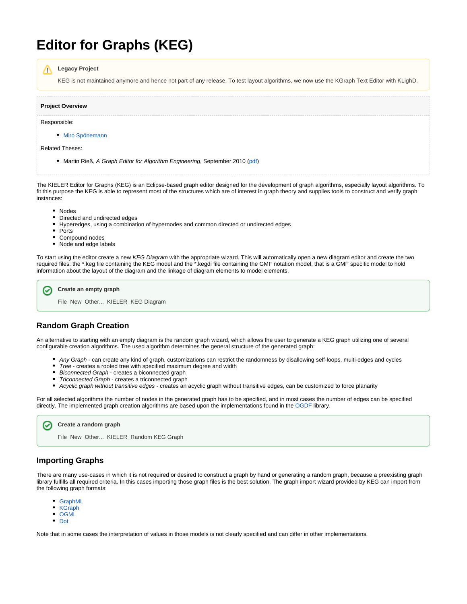# **Editor for Graphs (KEG)**

#### **Legacy Project** Λ

KEG is not maintained anymore and hence not part of any release. To test layout algorithms, we now use the KGraph Text Editor with KLighD.

| <b>Project Overview</b> |  |
|-------------------------|--|
| Responsible:            |  |
| • Miro Spönemann        |  |

Related Theses:

• Martin Rieß, A Graph Editor for Algorithm Engineering, September 2010 ([pdf](http://rtsys.informatik.uni-kiel.de/%7Ebiblio/downloads/theses/mri-bt.pdf))

The KIELER Editor for Graphs (KEG) is an Eclipse-based graph editor designed for the development of graph algorithms, especially layout algorithms. To fit this purpose the KEG is able to represent most of the structures which are of interest in graph theory and supplies tools to construct and verify graph instances:

- Nodes
- $\bullet$ Directed and undirected edges
- Hyperedges, using a combination of hypernodes and common directed or undirected edges
- Ports

∽

- $\bullet$ Compound nodes
- Node and edge labels

To start using the editor create a new KEG Diagram with the appropriate wizard. This will automatically open a new diagram editor and create the two required files: the \*.keg file containing the KEG model and the \*.kegdi file containing the GMF notation model, that is a GMF specific model to hold information about the layout of the diagram and the linkage of diagram elements to model elements.

### **Create an empty graph**

File New Other... KIELER KEG Diagram

### **Random Graph Creation**

An alternative to starting with an empty diagram is the random graph wizard, which allows the user to generate a KEG graph utilizing one of several configurable creation algorithms. The used algorithm determines the general structure of the generated graph:

- Any Graph can create any kind of graph, customizations can restrict the randomness by disallowing self-loops, multi-edges and cycles
- Tree creates a rooted tree with specified maximum degree and width
- Biconnected Graph creates a biconnected graph
- Triconnected Graph creates a triconnected graph
- Acyclic graph without transitive edges creates an acyclic graph without transitive edges, can be customized to force planarity

For all selected algorithms the number of nodes in the generated graph has to be specified, and in most cases the number of edges can be specified directly. The implemented graph creation algorithms are based upon the implementations found in the [OGDF](http://www.ogdf.net/) library.

#### **Create a random graph** Ø

File New Other... KIELER Random KEG Graph

### **Importing Graphs**

There are many use-cases in which it is not required or desired to construct a graph by hand or generating a random graph, because a preexisting graph library fulfills all required criteria. In this cases importing those graph files is the best solution. The graph import wizard provided by KEG can import from the following graph formats:

- [GraphML](http://graphml.graphdrawing.org/)
- [KGraph](https://rtsys.informatik.uni-kiel.de/confluence/display/KIELER/KGraph+Meta+Model)
- $\bullet$ **[OGML](http://www.ogdf.net/)**
- [Dot](http://www.graphviz.org/content/dot-language/)

⊘

Note that in some cases the interpretation of values in those models is not clearly specified and can differ in other implementations.